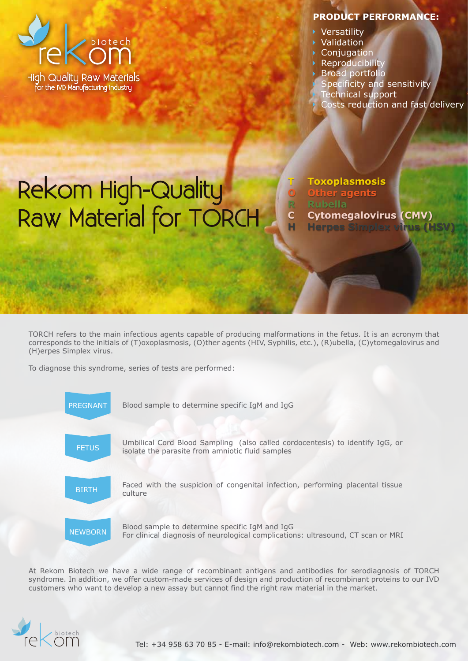

## **PRODUCT PERFORMANCE:**

- Versatility
- Validation
- **Conjugation**
- **Reproducibility**
- Broad portfolio

**Toxoplasmosis Other agents**

**Rubella**

Specificity and sensitivity

**Cytomegalovirus (CMV) Herpes Simplex virus (I** 

- Technical support
- Costs reduction and fast delivery

## Rekom High-Quality Raw Material for TORCH **T O R C H**

TORCH refers to the main infectious agents capable of producing malformations in the fetus. It is an acronym that corresponds to the initials of (T)oxoplasmosis, (O)ther agents (HIV, Syphilis, etc.), (R)ubella, (C)ytomegalovirus and (H)erpes Simplex virus.

To diagnose this syndrome, series of tests are performed:



At Rekom Biotech we have a wide range of recombinant antigens and antibodies for serodiagnosis of TORCH syndrome. In addition, we offer custom-made services of design and production of recombinant proteins to our IVD customers who want to develop a new assay but cannot find the right raw material in the market.